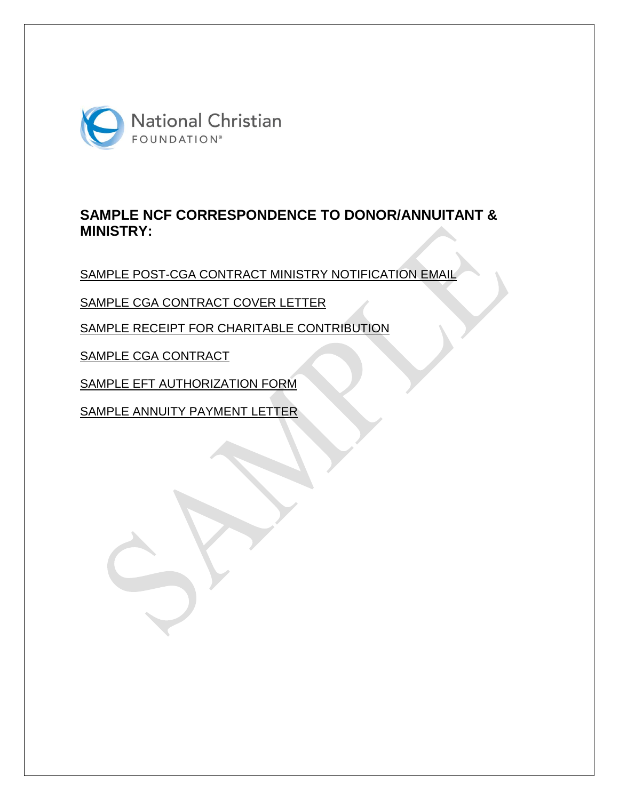

# **SAMPLE NCF CORRESPONDENCE TO DONOR/ANNUITANT & MINISTRY:**

SAMPLE POST-CGA CONTRACT MINISTRY NOTIFICATION EMAIL

SAMPLE CGA CONTRACT COVER LETTER

SAMPLE RECEIPT FOR CHARITABLE CONTRIBUTION

SAMPLE CGA CONTRACT

SAMPLE EFT AUTHORIZATION FORM

SAMPLE ANNUITY PAYMENT LETTER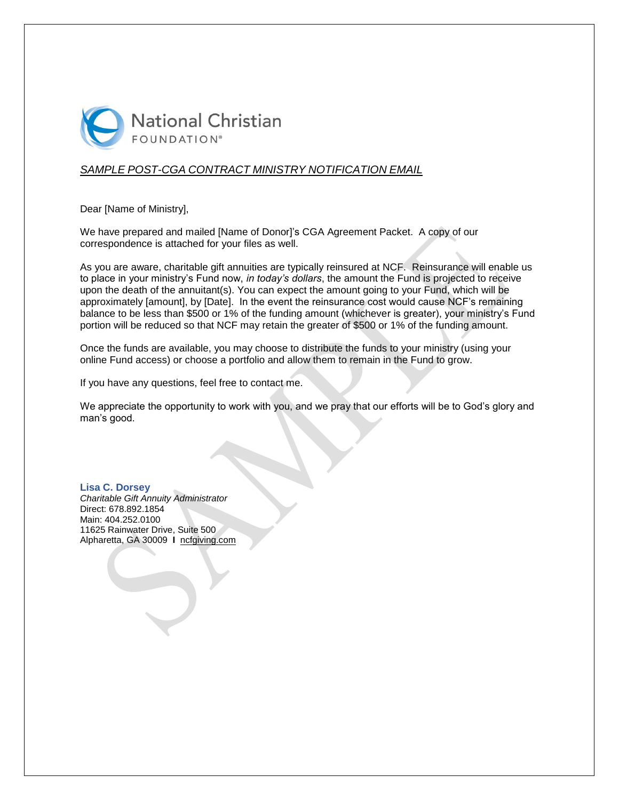

### *SAMPLE POST-CGA CONTRACT MINISTRY NOTIFICATION EMAIL*

Dear [Name of Ministry],

We have prepared and mailed [Name of Donor]'s CGA Agreement Packet. A copy of our correspondence is attached for your files as well.

As you are aware, charitable gift annuities are typically reinsured at NCF. Reinsurance will enable us to place in your ministry's Fund now, *in today's dollars*, the amount the Fund is projected to receive upon the death of the annuitant(s). You can expect the amount going to your Fund, which will be approximately [amount], by [Date]. In the event the reinsurance cost would cause NCF's remaining balance to be less than \$500 or 1% of the funding amount (whichever is greater), your ministry's Fund portion will be reduced so that NCF may retain the greater of \$500 or 1% of the funding amount.

Once the funds are available, you may choose to distribute the funds to your ministry (using your online Fund access) or choose a portfolio and allow them to remain in the Fund to grow.

If you have any questions, feel free to contact me.

We appreciate the opportunity to work with you, and we pray that our efforts will be to God's glory and man's good.

**Lisa C. Dorsey** *Charitable Gift Annuity Administrator* Direct: 678.892.1854 Main: 404.252.0100 11625 Rainwater Drive, Suite 500 Alpharetta, GA 30009 **I** ncfgiving.com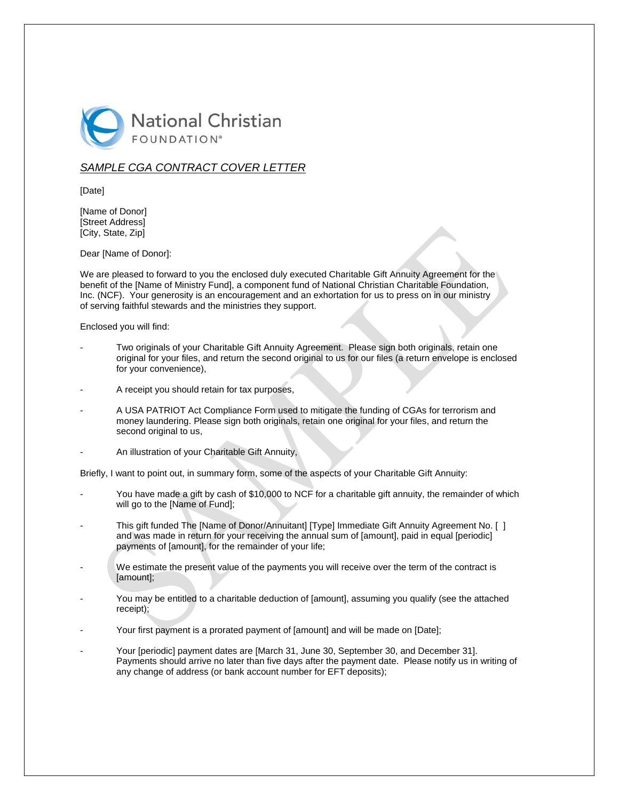

### *SAMPLE CGA CONTRACT COVER LETTER*

[Date]

[Name of Donor] [Street Address] [City, State, Zip]

Dear [Name of Donor]:

We are pleased to forward to you the enclosed duly executed Charitable Gift Annuity Agreement for the benefit of the [Name of Ministry Fund], a component fund of National Christian Charitable Foundation, Inc. (NCF). Your generosity is an encouragement and an exhortation for us to press on in our ministry of serving faithful stewards and the ministries they support.

Enclosed you will find:

- Two originals of your Charitable Gift Annuity Agreement. Please sign both originals, retain one original for your files, and return the second original to us for our files (a return envelope is enclosed for your convenience),
- A receipt you should retain for tax purposes,
- A USA PATRIOT Act Compliance Form used to mitigate the funding of CGAs for terrorism and money laundering. Please sign both originals, retain one original for your files, and return the second original to us,
- An illustration of your Charitable Gift Annuity,

Briefly, I want to point out, in summary form, some of the aspects of your Charitable Gift Annuity:

- You have made a gift by cash of \$10,000 to NCF for a charitable gift annuity, the remainder of which will go to the [Name of Fund];
- This gift funded The [Name of Donor/Annuitant] [Type] Immediate Gift Annuity Agreement No. [] and was made in return for your receiving the annual sum of [amount], paid in equal [periodic] payments of [amount], for the remainder of your life;
- We estimate the present value of the payments you will receive over the term of the contract is [amount];
- You may be entitled to a charitable deduction of [amount], assuming you qualify (see the attached receipt);
- Your first payment is a prorated payment of [amount] and will be made on [Date];
- Your [periodic] payment dates are [March 31, June 30, September 30, and December 31]. Payments should arrive no later than five days after the payment date. Please notify us in writing of any change of address (or bank account number for EFT deposits);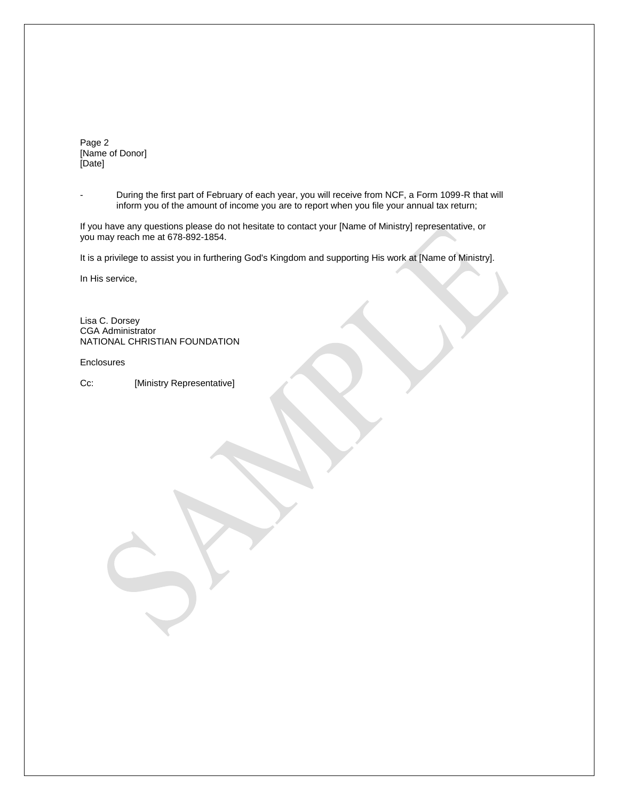Page 2 [Name of Donor] [Date]

- During the first part of February of each year, you will receive from NCF, a Form 1099-R that will inform you of the amount of income you are to report when you file your annual tax return;

If you have any questions please do not hesitate to contact your [Name of Ministry] representative, or you may reach me at 678-892-1854.

It is a privilege to assist you in furthering God's Kingdom and supporting His work at [Name of Ministry].

In His service,

Lisa C. Dorsey CGA Administrator NATIONAL CHRISTIAN FOUNDATION

Enclosures

Cc: [Ministry Representative]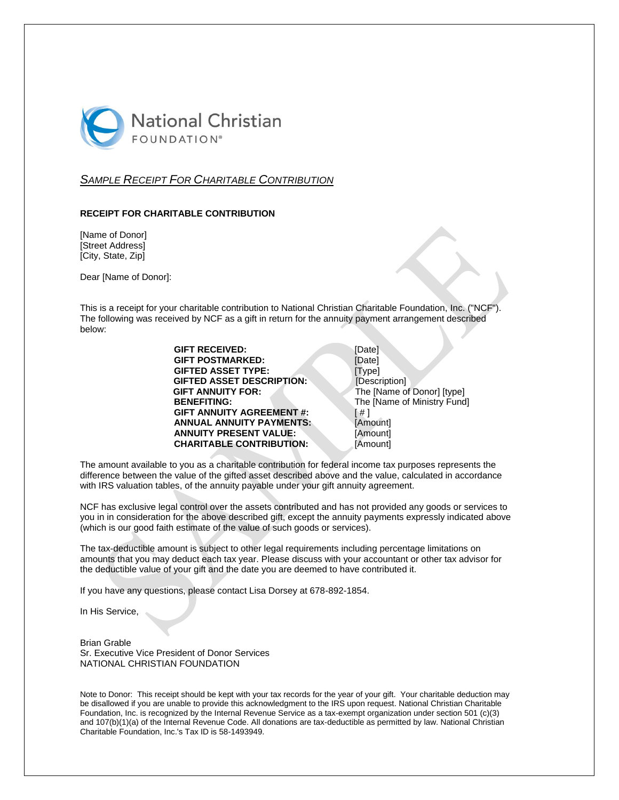

### *SAMPLE RECEIPT FOR CHARITABLE CONTRIBUTION*

#### **RECEIPT FOR CHARITABLE CONTRIBUTION**

[Name of Donor] [Street Address] [City, State, Zip]

Dear [Name of Donor]:

This is a receipt for your charitable contribution to National Christian Charitable Foundation, Inc. ("NCF"). The following was received by NCF as a gift in return for the annuity payment arrangement described below:

| <b>GIFT RECEIVED:</b>            | [Date]                      |
|----------------------------------|-----------------------------|
| <b>GIFT POSTMARKED:</b>          | [Date]                      |
| <b>GIFTED ASSET TYPE:</b>        | [Type]                      |
| <b>GIFTED ASSET DESCRIPTION:</b> | [Description]               |
| <b>GIFT ANNUITY FOR:</b>         | The [Name of Donor] [type]  |
| <b>BENEFITING:</b>               | The [Name of Ministry Fund] |
| <b>GIFT ANNUITY AGREEMENT #:</b> | [#                          |
| <b>ANNUAL ANNUITY PAYMENTS:</b>  | [Amount]                    |
| <b>ANNUITY PRESENT VALUE:</b>    | [Amount]                    |
| <b>CHARITABLE CONTRIBUTION:</b>  | [Amount]                    |
|                                  |                             |

| [Date]                      |
|-----------------------------|
| [Date]                      |
| [Type]                      |
| [Description]               |
| The [Name of Donor] [type]  |
| The [Name of Ministry Fund] |
| 「# 1                        |
| [Amount]                    |
| [Amount]                    |
| [Amount]                    |

The amount available to you as a charitable contribution for federal income tax purposes represents the difference between the value of the gifted asset described above and the value, calculated in accordance with IRS valuation tables, of the annuity payable under your gift annuity agreement.

NCF has exclusive legal control over the assets contributed and has not provided any goods or services to you in in consideration for the above described gift, except the annuity payments expressly indicated above (which is our good faith estimate of the value of such goods or services).

The tax-deductible amount is subject to other legal requirements including percentage limitations on amounts that you may deduct each tax year. Please discuss with your accountant or other tax advisor for the deductible value of your gift and the date you are deemed to have contributed it.

If you have any questions, please contact Lisa Dorsey at 678-892-1854.

In His Service,

Brian Grable Sr. Executive Vice President of Donor Services NATIONAL CHRISTIAN FOUNDATION

Note to Donor: This receipt should be kept with your tax records for the year of your gift. Your charitable deduction may be disallowed if you are unable to provide this acknowledgment to the IRS upon request. National Christian Charitable Foundation, Inc. is recognized by the Internal Revenue Service as a tax-exempt organization under section 501 (c)(3) and 107(b)(1)(a) of the Internal Revenue Code. All donations are tax-deductible as permitted by law. National Christian Charitable Foundation, Inc.'s Tax ID is 58-1493949.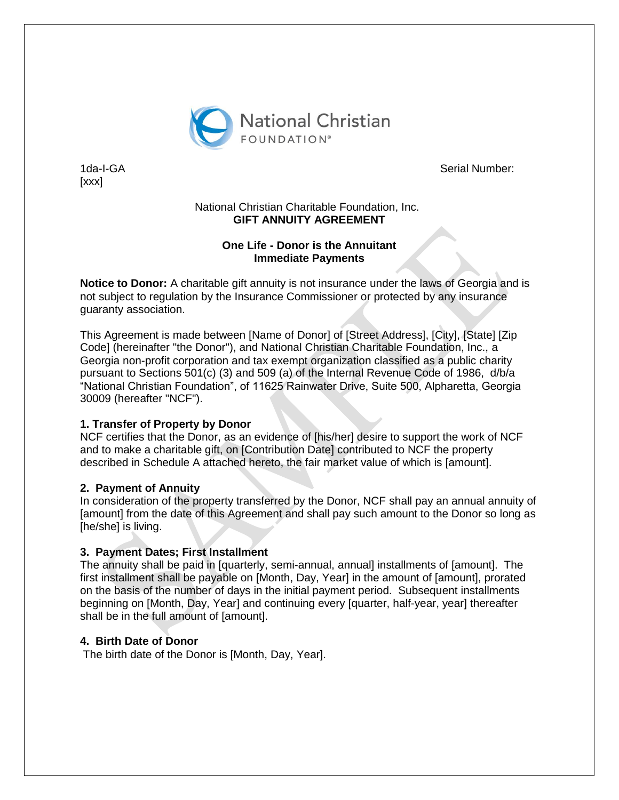

[xxx]

1da-I-GA Serial Number:

### National Christian Charitable Foundation, Inc. **GIFT ANNUITY AGREEMENT**

### **One Life - Donor is the Annuitant Immediate Payments**

**Notice to Donor:** A charitable gift annuity is not insurance under the laws of Georgia and is not subject to regulation by the Insurance Commissioner or protected by any insurance guaranty association.

This Agreement is made between [Name of Donor] of [Street Address], [City], [State] [Zip Code] (hereinafter "the Donor"), and National Christian Charitable Foundation, Inc., a Georgia non-profit corporation and tax exempt organization classified as a public charity pursuant to Sections 501(c) (3) and 509 (a) of the Internal Revenue Code of 1986, d/b/a "National Christian Foundation", of 11625 Rainwater Drive, Suite 500, Alpharetta, Georgia 30009 (hereafter "NCF").

### **1. Transfer of Property by Donor**

NCF certifies that the Donor, as an evidence of [his/her] desire to support the work of NCF and to make a charitable gift, on [Contribution Date] contributed to NCF the property described in Schedule A attached hereto, the fair market value of which is [amount].

### **2. Payment of Annuity**

In consideration of the property transferred by the Donor, NCF shall pay an annual annuity of [amount] from the date of this Agreement and shall pay such amount to the Donor so long as [he/she] is living.

# **3. Payment Dates; First Installment**

The annuity shall be paid in [quarterly, semi-annual, annual] installments of [amount]. The first installment shall be payable on [Month, Day, Year] in the amount of [amount], prorated on the basis of the number of days in the initial payment period. Subsequent installments beginning on [Month, Day, Year] and continuing every [quarter, half-year, year] thereafter shall be in the full amount of [amount].

# **4. Birth Date of Donor**

The birth date of the Donor is [Month, Day, Year].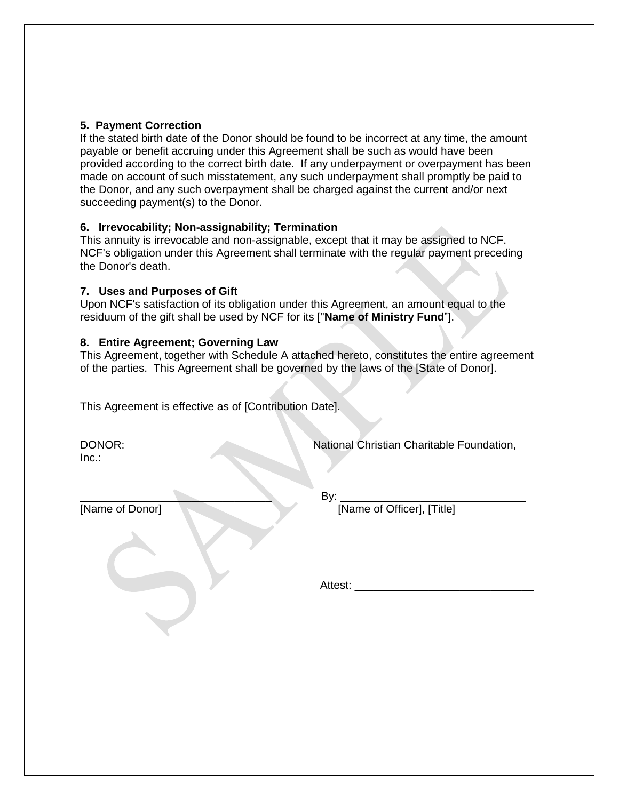### **5. Payment Correction**

If the stated birth date of the Donor should be found to be incorrect at any time, the amount payable or benefit accruing under this Agreement shall be such as would have been provided according to the correct birth date. If any underpayment or overpayment has been made on account of such misstatement, any such underpayment shall promptly be paid to the Donor, and any such overpayment shall be charged against the current and/or next succeeding payment(s) to the Donor.

### **6. Irrevocability; Non-assignability; Termination**

This annuity is irrevocable and non-assignable, except that it may be assigned to NCF. NCF's obligation under this Agreement shall terminate with the regular payment preceding the Donor's death.

### **7. Uses and Purposes of Gift**

Upon NCF's satisfaction of its obligation under this Agreement, an amount equal to the residuum of the gift shall be used by NCF for its ["**Name of Ministry Fund**"].

### **8. Entire Agreement; Governing Law**

This Agreement, together with Schedule A attached hereto, constitutes the entire agreement of the parties. This Agreement shall be governed by the laws of the [State of Donor].

This Agreement is effective as of [Contribution Date].

 $Inc.$ :

DONOR: **National Christian Charitable Foundation**,

\_\_\_\_\_\_\_\_\_\_\_\_\_\_\_\_\_\_\_\_\_\_\_\_\_\_\_\_\_\_\_ By: \_\_\_\_\_\_\_\_\_\_\_\_\_\_\_\_\_\_\_\_\_\_\_\_\_\_\_\_\_\_

[Name of Donor] [Name of Officer], [Title]

Attest: \_\_\_\_\_\_\_\_\_\_\_\_\_\_\_\_\_\_\_\_\_\_\_\_\_\_\_\_\_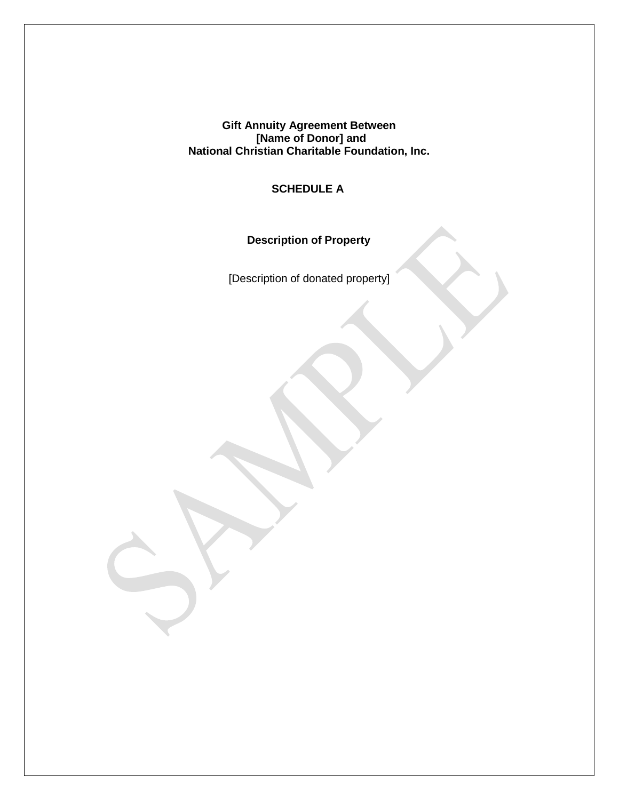**Gift Annuity Agreement Between**  *EXECUTE:* **CONORGINAL EXECUTE: [Name of Donor] and National Christian Charitable Foundation, Inc.** 

 **SCHEDULE A** 

 **Description of Property** 

[Description of donated property]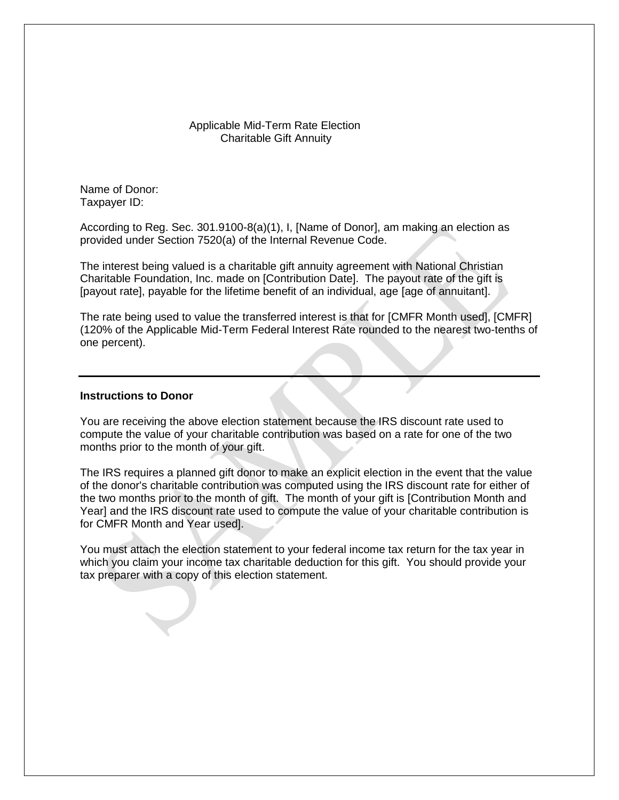### Applicable Mid-Term Rate Election Charitable Gift Annuity

Name of Donor: Taxpayer ID:

According to Reg. Sec. 301.9100-8(a)(1), I, [Name of Donor], am making an election as provided under Section 7520(a) of the Internal Revenue Code.

The interest being valued is a charitable gift annuity agreement with National Christian Charitable Foundation, Inc. made on [Contribution Date]. The payout rate of the gift is [payout rate], payable for the lifetime benefit of an individual, age [age of annuitant].

The rate being used to value the transferred interest is that for [CMFR Month used], [CMFR] (120% of the Applicable Mid-Term Federal Interest Rate rounded to the nearest two-tenths of one percent).

### **Instructions to Donor**

You are receiving the above election statement because the IRS discount rate used to compute the value of your charitable contribution was based on a rate for one of the two months prior to the month of your gift.

The IRS requires a planned gift donor to make an explicit election in the event that the value of the donor's charitable contribution was computed using the IRS discount rate for either of the two months prior to the month of gift. The month of your gift is [Contribution Month and Year] and the IRS discount rate used to compute the value of your charitable contribution is for CMFR Month and Year used].

You must attach the election statement to your federal income tax return for the tax year in which you claim your income tax charitable deduction for this gift. You should provide your tax preparer with a copy of this election statement.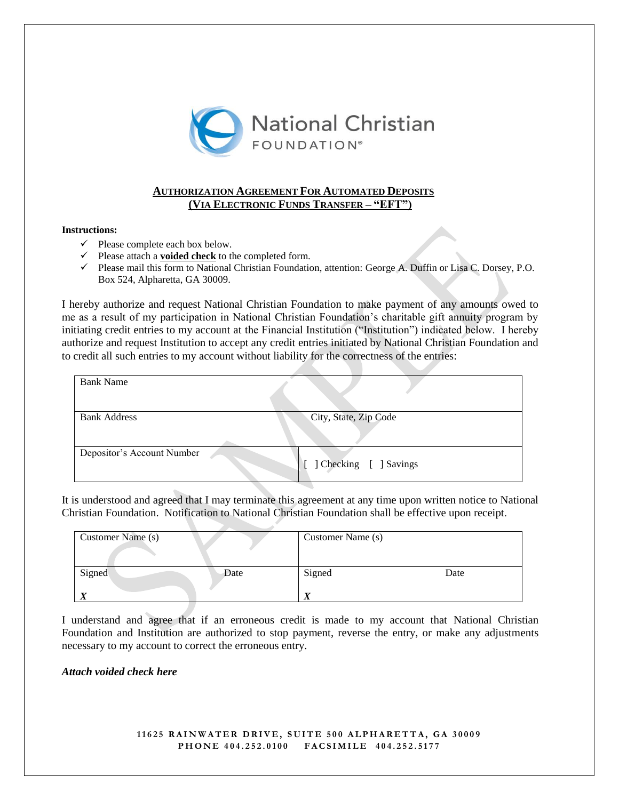

### **AUTHORIZATION AGREEMENT FOR AUTOMATED DEPOSITS (VIA ELECTRONIC FUNDS TRANSFER – "EFT")**

#### **Instructions:**

- $\checkmark$  Please complete each box below.
- $\checkmark$  Please attach a **voided check** to the completed form.
- $\checkmark$  Please mail this form to National Christian Foundation, attention: George A. Duffin or Lisa C. Dorsey, P.O. Box 524, Alpharetta, GA 30009.

I hereby authorize and request National Christian Foundation to make payment of any amounts owed to me as a result of my participation in National Christian Foundation's charitable gift annuity program by initiating credit entries to my account at the Financial Institution ("Institution") indicated below. I hereby authorize and request Institution to accept any credit entries initiated by National Christian Foundation and to credit all such entries to my account without liability for the correctness of the entries:

| <b>Bank Name</b>           |                       |
|----------------------------|-----------------------|
| <b>Bank Address</b>        | City, State, Zip Code |
| Depositor's Account Number | Checking [ ] Savings  |

It is understood and agreed that I may terminate this agreement at any time upon written notice to National Christian Foundation. Notification to National Christian Foundation shall be effective upon receipt.

| Customer Name (s) | Customer Name (s) |  |
|-------------------|-------------------|--|
| Signed<br>Date    | Signed<br>Date    |  |
|                   |                   |  |

I understand and agree that if an erroneous credit is made to my account that National Christian Foundation and Institution are authorized to stop payment, reverse the entry, or make any adjustments necessary to my account to correct the erroneous entry.

#### *Attach voided check here*

**1 1 6 2 5 R A I N W A T E R D R I V E , S U I T E 5 0 0 A L P H A R E T T A , G A 3 0 0 0 9 P H O N E 4 0 4 . 2 5 2 . 0 1 0 0 F A C S I M I L E 4 0 4 . 2 5 2 . 5 1 7 7**